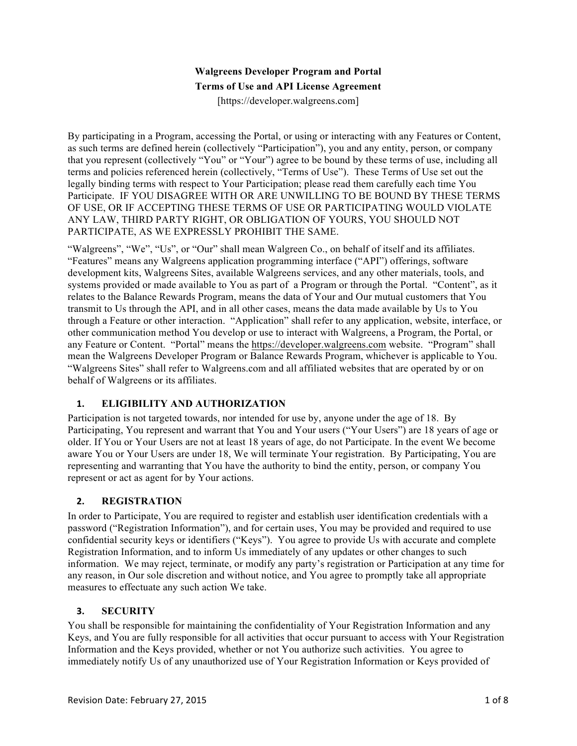# **Walgreens Developer Program and Portal Terms of Use and API License Agreement**

[https://developer.walgreens.com]

By participating in a Program, accessing the Portal, or using or interacting with any Features or Content, as such terms are defined herein (collectively "Participation"), you and any entity, person, or company that you represent (collectively "You" or "Your") agree to be bound by these terms of use, including all terms and policies referenced herein (collectively, "Terms of Use"). These Terms of Use set out the legally binding terms with respect to Your Participation; please read them carefully each time You Participate. IF YOU DISAGREE WITH OR ARE UNWILLING TO BE BOUND BY THESE TERMS OF USE, OR IF ACCEPTING THESE TERMS OF USE OR PARTICIPATING WOULD VIOLATE ANY LAW, THIRD PARTY RIGHT, OR OBLIGATION OF YOURS, YOU SHOULD NOT PARTICIPATE, AS WE EXPRESSLY PROHIBIT THE SAME.

"Walgreens", "We", "Us", or "Our" shall mean Walgreen Co., on behalf of itself and its affiliates. "Features" means any Walgreens application programming interface ("API") offerings, software development kits, Walgreens Sites, available Walgreens services, and any other materials, tools, and systems provided or made available to You as part of a Program or through the Portal. "Content", as it relates to the Balance Rewards Program, means the data of Your and Our mutual customers that You transmit to Us through the API, and in all other cases, means the data made available by Us to You through a Feature or other interaction. "Application" shall refer to any application, website, interface, or other communication method You develop or use to interact with Walgreens, a Program, the Portal, or any Feature or Content. "Portal" means the https://developer.walgreens.com website. "Program" shall mean the Walgreens Developer Program or Balance Rewards Program, whichever is applicable to You. "Walgreens Sites" shall refer to Walgreens.com and all affiliated websites that are operated by or on behalf of Walgreens or its affiliates.

### **1. ELIGIBILITY AND AUTHORIZATION**

Participation is not targeted towards, nor intended for use by, anyone under the age of 18. By Participating, You represent and warrant that You and Your users ("Your Users") are 18 years of age or older. If You or Your Users are not at least 18 years of age, do not Participate. In the event We become aware You or Your Users are under 18, We will terminate Your registration. By Participating, You are representing and warranting that You have the authority to bind the entity, person, or company You represent or act as agent for by Your actions.

### **2. REGISTRATION**

In order to Participate, You are required to register and establish user identification credentials with a password ("Registration Information"), and for certain uses, You may be provided and required to use confidential security keys or identifiers ("Keys"). You agree to provide Us with accurate and complete Registration Information, and to inform Us immediately of any updates or other changes to such information. We may reject, terminate, or modify any party's registration or Participation at any time for any reason, in Our sole discretion and without notice, and You agree to promptly take all appropriate measures to effectuate any such action We take.

### **3. SECURITY**

You shall be responsible for maintaining the confidentiality of Your Registration Information and any Keys, and You are fully responsible for all activities that occur pursuant to access with Your Registration Information and the Keys provided, whether or not You authorize such activities. You agree to immediately notify Us of any unauthorized use of Your Registration Information or Keys provided of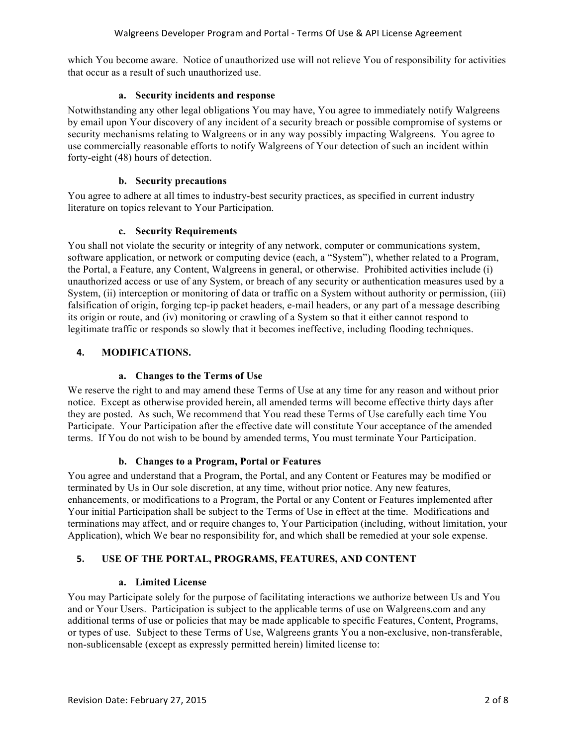which You become aware. Notice of unauthorized use will not relieve You of responsibility for activities that occur as a result of such unauthorized use.

#### **a. Security incidents and response**

Notwithstanding any other legal obligations You may have, You agree to immediately notify Walgreens by email upon Your discovery of any incident of a security breach or possible compromise of systems or security mechanisms relating to Walgreens or in any way possibly impacting Walgreens. You agree to use commercially reasonable efforts to notify Walgreens of Your detection of such an incident within forty-eight (48) hours of detection.

#### **b. Security precautions**

You agree to adhere at all times to industry-best security practices, as specified in current industry literature on topics relevant to Your Participation.

#### **c. Security Requirements**

You shall not violate the security or integrity of any network, computer or communications system, software application, or network or computing device (each, a "System"), whether related to a Program, the Portal, a Feature, any Content, Walgreens in general, or otherwise. Prohibited activities include (i) unauthorized access or use of any System, or breach of any security or authentication measures used by a System, (ii) interception or monitoring of data or traffic on a System without authority or permission, (iii) falsification of origin, forging tcp-ip packet headers, e-mail headers, or any part of a message describing its origin or route, and (iv) monitoring or crawling of a System so that it either cannot respond to legitimate traffic or responds so slowly that it becomes ineffective, including flooding techniques.

### **4. MODIFICATIONS.**

#### **a. Changes to the Terms of Use**

We reserve the right to and may amend these Terms of Use at any time for any reason and without prior notice. Except as otherwise provided herein, all amended terms will become effective thirty days after they are posted. As such, We recommend that You read these Terms of Use carefully each time You Participate. Your Participation after the effective date will constitute Your acceptance of the amended terms. If You do not wish to be bound by amended terms, You must terminate Your Participation.

### **b. Changes to a Program, Portal or Features**

You agree and understand that a Program, the Portal, and any Content or Features may be modified or terminated by Us in Our sole discretion, at any time, without prior notice. Any new features, enhancements, or modifications to a Program, the Portal or any Content or Features implemented after Your initial Participation shall be subject to the Terms of Use in effect at the time. Modifications and terminations may affect, and or require changes to, Your Participation (including, without limitation, your Application), which We bear no responsibility for, and which shall be remedied at your sole expense.

### **5. USE OF THE PORTAL, PROGRAMS, FEATURES, AND CONTENT**

#### **a. Limited License**

You may Participate solely for the purpose of facilitating interactions we authorize between Us and You and or Your Users. Participation is subject to the applicable terms of use on Walgreens.com and any additional terms of use or policies that may be made applicable to specific Features, Content, Programs, or types of use. Subject to these Terms of Use, Walgreens grants You a non-exclusive, non-transferable, non-sublicensable (except as expressly permitted herein) limited license to: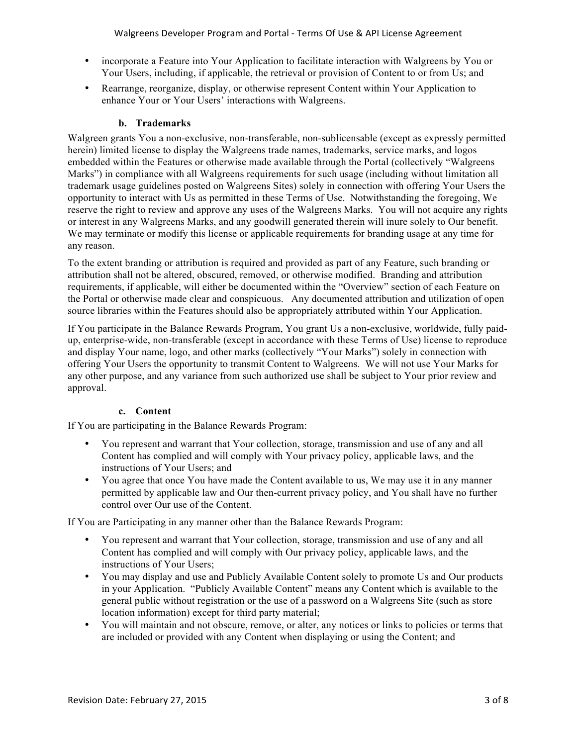- incorporate a Feature into Your Application to facilitate interaction with Walgreens by You or Your Users, including, if applicable, the retrieval or provision of Content to or from Us; and
- Rearrange, reorganize, display, or otherwise represent Content within Your Application to enhance Your or Your Users' interactions with Walgreens.

### **b. Trademarks**

Walgreen grants You a non-exclusive, non-transferable, non-sublicensable (except as expressly permitted herein) limited license to display the Walgreens trade names, trademarks, service marks, and logos embedded within the Features or otherwise made available through the Portal (collectively "Walgreens Marks") in compliance with all Walgreens requirements for such usage (including without limitation all trademark usage guidelines posted on Walgreens Sites) solely in connection with offering Your Users the opportunity to interact with Us as permitted in these Terms of Use. Notwithstanding the foregoing, We reserve the right to review and approve any uses of the Walgreens Marks. You will not acquire any rights or interest in any Walgreens Marks, and any goodwill generated therein will inure solely to Our benefit. We may terminate or modify this license or applicable requirements for branding usage at any time for any reason.

To the extent branding or attribution is required and provided as part of any Feature, such branding or attribution shall not be altered, obscured, removed, or otherwise modified. Branding and attribution requirements, if applicable, will either be documented within the "Overview" section of each Feature on the Portal or otherwise made clear and conspicuous. Any documented attribution and utilization of open source libraries within the Features should also be appropriately attributed within Your Application.

If You participate in the Balance Rewards Program, You grant Us a non-exclusive, worldwide, fully paidup, enterprise-wide, non-transferable (except in accordance with these Terms of Use) license to reproduce and display Your name, logo, and other marks (collectively "Your Marks") solely in connection with offering Your Users the opportunity to transmit Content to Walgreens. We will not use Your Marks for any other purpose, and any variance from such authorized use shall be subject to Your prior review and approval.

### **c. Content**

If You are participating in the Balance Rewards Program:

- You represent and warrant that Your collection, storage, transmission and use of any and all Content has complied and will comply with Your privacy policy, applicable laws, and the instructions of Your Users; and
- You agree that once You have made the Content available to us, We may use it in any manner permitted by applicable law and Our then-current privacy policy, and You shall have no further control over Our use of the Content.

If You are Participating in any manner other than the Balance Rewards Program:

- You represent and warrant that Your collection, storage, transmission and use of any and all Content has complied and will comply with Our privacy policy, applicable laws, and the instructions of Your Users;
- You may display and use and Publicly Available Content solely to promote Us and Our products in your Application. "Publicly Available Content" means any Content which is available to the general public without registration or the use of a password on a Walgreens Site (such as store location information) except for third party material;
- You will maintain and not obscure, remove, or alter, any notices or links to policies or terms that are included or provided with any Content when displaying or using the Content; and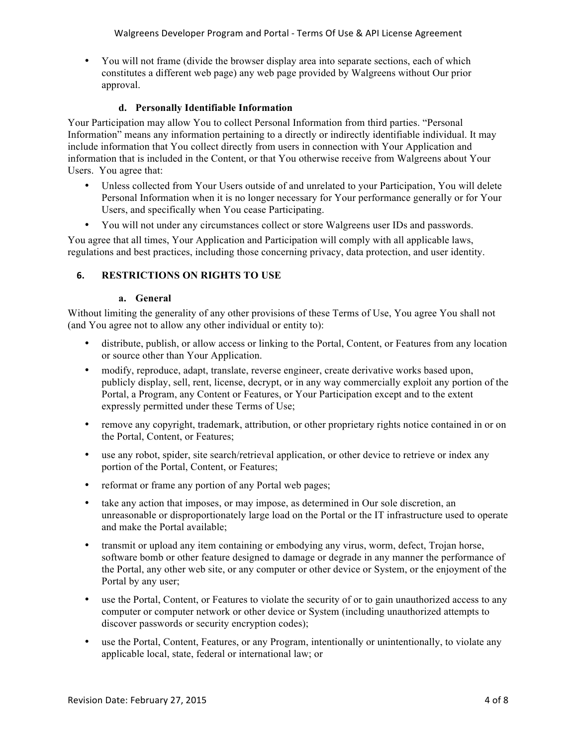• You will not frame (divide the browser display area into separate sections, each of which constitutes a different web page) any web page provided by Walgreens without Our prior approval.

#### **d. Personally Identifiable Information**

Your Participation may allow You to collect Personal Information from third parties. "Personal Information" means any information pertaining to a directly or indirectly identifiable individual. It may include information that You collect directly from users in connection with Your Application and information that is included in the Content, or that You otherwise receive from Walgreens about Your Users. You agree that:

- Unless collected from Your Users outside of and unrelated to your Participation, You will delete Personal Information when it is no longer necessary for Your performance generally or for Your Users, and specifically when You cease Participating.
- You will not under any circumstances collect or store Walgreens user IDs and passwords.

You agree that all times, Your Application and Participation will comply with all applicable laws, regulations and best practices, including those concerning privacy, data protection, and user identity.

### **6. RESTRICTIONS ON RIGHTS TO USE**

#### **a. General**

Without limiting the generality of any other provisions of these Terms of Use, You agree You shall not (and You agree not to allow any other individual or entity to):

- distribute, publish, or allow access or linking to the Portal, Content, or Features from any location or source other than Your Application.
- modify, reproduce, adapt, translate, reverse engineer, create derivative works based upon, publicly display, sell, rent, license, decrypt, or in any way commercially exploit any portion of the Portal, a Program, any Content or Features, or Your Participation except and to the extent expressly permitted under these Terms of Use;
- remove any copyright, trademark, attribution, or other proprietary rights notice contained in or on the Portal, Content, or Features;
- use any robot, spider, site search/retrieval application, or other device to retrieve or index any portion of the Portal, Content, or Features;
- reformat or frame any portion of any Portal web pages;
- take any action that imposes, or may impose, as determined in Our sole discretion, an unreasonable or disproportionately large load on the Portal or the IT infrastructure used to operate and make the Portal available;
- transmit or upload any item containing or embodying any virus, worm, defect, Trojan horse, software bomb or other feature designed to damage or degrade in any manner the performance of the Portal, any other web site, or any computer or other device or System, or the enjoyment of the Portal by any user;
- use the Portal, Content, or Features to violate the security of or to gain unauthorized access to any computer or computer network or other device or System (including unauthorized attempts to discover passwords or security encryption codes);
- use the Portal, Content, Features, or any Program, intentionally or unintentionally, to violate any applicable local, state, federal or international law; or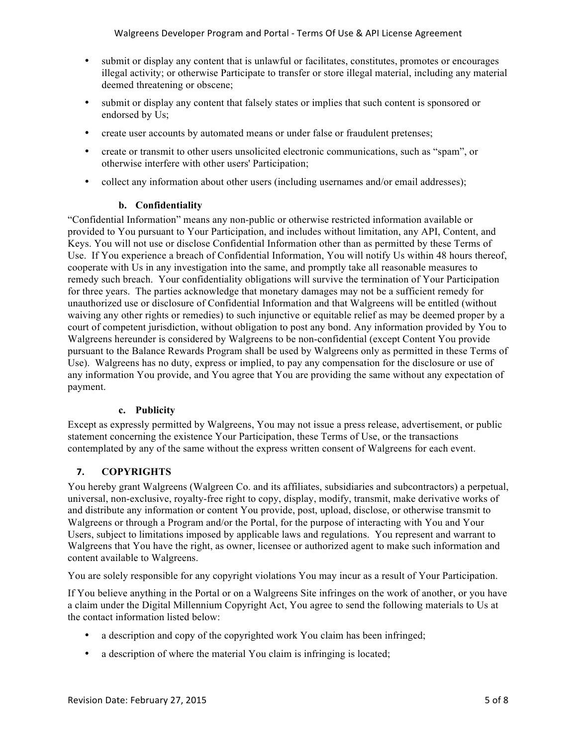- submit or display any content that is unlawful or facilitates, constitutes, promotes or encourages illegal activity; or otherwise Participate to transfer or store illegal material, including any material deemed threatening or obscene;
- submit or display any content that falsely states or implies that such content is sponsored or endorsed by Us;
- create user accounts by automated means or under false or fraudulent pretenses;
- create or transmit to other users unsolicited electronic communications, such as "spam", or otherwise interfere with other users' Participation;
- collect any information about other users (including usernames and/or email addresses);

#### **b. Confidentiality**

"Confidential Information" means any non-public or otherwise restricted information available or provided to You pursuant to Your Participation, and includes without limitation, any API, Content, and Keys. You will not use or disclose Confidential Information other than as permitted by these Terms of Use. If You experience a breach of Confidential Information, You will notify Us within 48 hours thereof, cooperate with Us in any investigation into the same, and promptly take all reasonable measures to remedy such breach. Your confidentiality obligations will survive the termination of Your Participation for three years. The parties acknowledge that monetary damages may not be a sufficient remedy for unauthorized use or disclosure of Confidential Information and that Walgreens will be entitled (without waiving any other rights or remedies) to such injunctive or equitable relief as may be deemed proper by a court of competent jurisdiction, without obligation to post any bond. Any information provided by You to Walgreens hereunder is considered by Walgreens to be non-confidential (except Content You provide pursuant to the Balance Rewards Program shall be used by Walgreens only as permitted in these Terms of Use). Walgreens has no duty, express or implied, to pay any compensation for the disclosure or use of any information You provide, and You agree that You are providing the same without any expectation of payment.

#### **c. Publicity**

Except as expressly permitted by Walgreens, You may not issue a press release, advertisement, or public statement concerning the existence Your Participation, these Terms of Use, or the transactions contemplated by any of the same without the express written consent of Walgreens for each event.

### **7. COPYRIGHTS**

You hereby grant Walgreens (Walgreen Co. and its affiliates, subsidiaries and subcontractors) a perpetual, universal, non-exclusive, royalty-free right to copy, display, modify, transmit, make derivative works of and distribute any information or content You provide, post, upload, disclose, or otherwise transmit to Walgreens or through a Program and/or the Portal, for the purpose of interacting with You and Your Users, subject to limitations imposed by applicable laws and regulations. You represent and warrant to Walgreens that You have the right, as owner, licensee or authorized agent to make such information and content available to Walgreens.

You are solely responsible for any copyright violations You may incur as a result of Your Participation.

If You believe anything in the Portal or on a Walgreens Site infringes on the work of another, or you have a claim under the Digital Millennium Copyright Act, You agree to send the following materials to Us at the contact information listed below:

- a description and copy of the copyrighted work You claim has been infringed;
- a description of where the material You claim is infringing is located;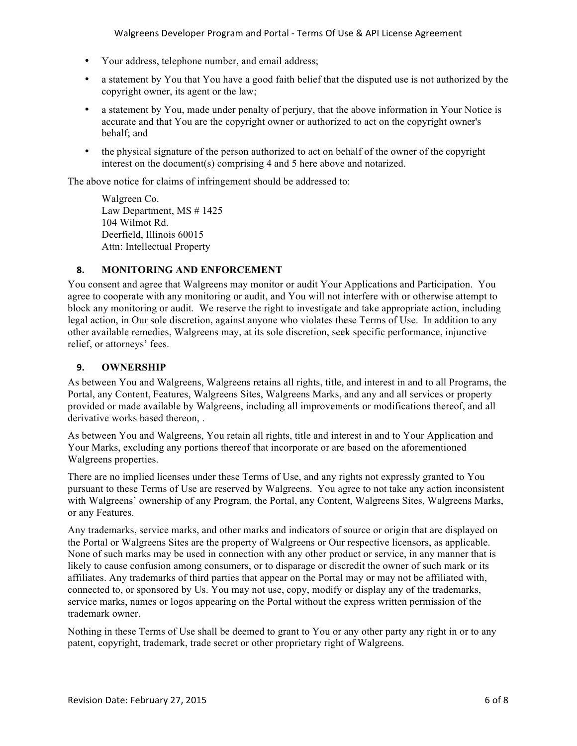- Your address, telephone number, and email address;
- a statement by You that You have a good faith belief that the disputed use is not authorized by the copyright owner, its agent or the law;
- a statement by You, made under penalty of perjury, that the above information in Your Notice is accurate and that You are the copyright owner or authorized to act on the copyright owner's behalf; and
- the physical signature of the person authorized to act on behalf of the owner of the copyright interest on the document(s) comprising 4 and 5 here above and notarized.

The above notice for claims of infringement should be addressed to:

Walgreen Co. Law Department, MS # 1425 104 Wilmot Rd. Deerfield, Illinois 60015 Attn: Intellectual Property

#### **8. MONITORING AND ENFORCEMENT**

You consent and agree that Walgreens may monitor or audit Your Applications and Participation. You agree to cooperate with any monitoring or audit, and You will not interfere with or otherwise attempt to block any monitoring or audit. We reserve the right to investigate and take appropriate action, including legal action, in Our sole discretion, against anyone who violates these Terms of Use. In addition to any other available remedies, Walgreens may, at its sole discretion, seek specific performance, injunctive relief, or attorneys' fees.

#### **9. OWNERSHIP**

As between You and Walgreens, Walgreens retains all rights, title, and interest in and to all Programs, the Portal, any Content, Features, Walgreens Sites, Walgreens Marks, and any and all services or property provided or made available by Walgreens, including all improvements or modifications thereof, and all derivative works based thereon, .

As between You and Walgreens, You retain all rights, title and interest in and to Your Application and Your Marks, excluding any portions thereof that incorporate or are based on the aforementioned Walgreens properties.

There are no implied licenses under these Terms of Use, and any rights not expressly granted to You pursuant to these Terms of Use are reserved by Walgreens. You agree to not take any action inconsistent with Walgreens' ownership of any Program, the Portal, any Content, Walgreens Sites, Walgreens Marks, or any Features.

Any trademarks, service marks, and other marks and indicators of source or origin that are displayed on the Portal or Walgreens Sites are the property of Walgreens or Our respective licensors, as applicable. None of such marks may be used in connection with any other product or service, in any manner that is likely to cause confusion among consumers, or to disparage or discredit the owner of such mark or its affiliates. Any trademarks of third parties that appear on the Portal may or may not be affiliated with, connected to, or sponsored by Us. You may not use, copy, modify or display any of the trademarks, service marks, names or logos appearing on the Portal without the express written permission of the trademark owner.

Nothing in these Terms of Use shall be deemed to grant to You or any other party any right in or to any patent, copyright, trademark, trade secret or other proprietary right of Walgreens.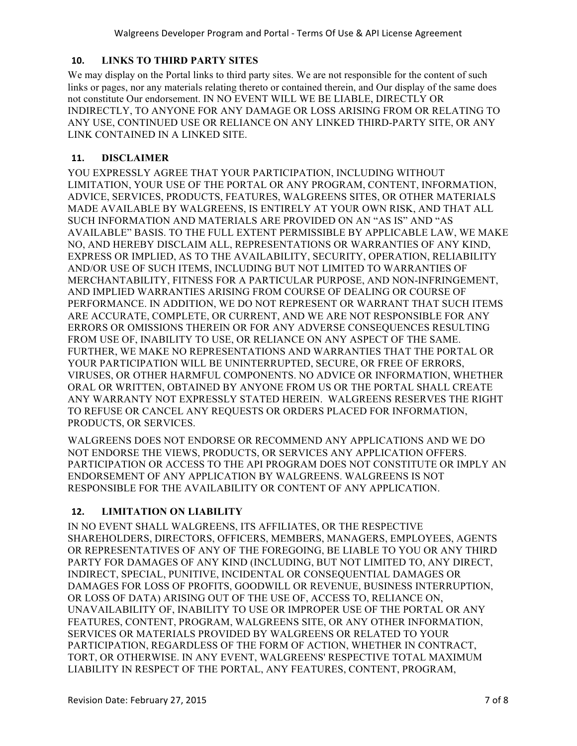### **10. LINKS TO THIRD PARTY SITES**

We may display on the Portal links to third party sites. We are not responsible for the content of such links or pages, nor any materials relating thereto or contained therein, and Our display of the same does not constitute Our endorsement. IN NO EVENT WILL WE BE LIABLE, DIRECTLY OR INDIRECTLY, TO ANYONE FOR ANY DAMAGE OR LOSS ARISING FROM OR RELATING TO ANY USE, CONTINUED USE OR RELIANCE ON ANY LINKED THIRD-PARTY SITE, OR ANY LINK CONTAINED IN A LINKED SITE.

#### **11. DISCLAIMER**

YOU EXPRESSLY AGREE THAT YOUR PARTICIPATION, INCLUDING WITHOUT LIMITATION, YOUR USE OF THE PORTAL OR ANY PROGRAM, CONTENT, INFORMATION, ADVICE, SERVICES, PRODUCTS, FEATURES, WALGREENS SITES, OR OTHER MATERIALS MADE AVAILABLE BY WALGREENS, IS ENTIRELY AT YOUR OWN RISK, AND THAT ALL SUCH INFORMATION AND MATERIALS ARE PROVIDED ON AN "AS IS" AND "AS AVAILABLE" BASIS. TO THE FULL EXTENT PERMISSIBLE BY APPLICABLE LAW, WE MAKE NO, AND HEREBY DISCLAIM ALL, REPRESENTATIONS OR WARRANTIES OF ANY KIND, EXPRESS OR IMPLIED, AS TO THE AVAILABILITY, SECURITY, OPERATION, RELIABILITY AND/OR USE OF SUCH ITEMS, INCLUDING BUT NOT LIMITED TO WARRANTIES OF MERCHANTABILITY, FITNESS FOR A PARTICULAR PURPOSE, AND NON-INFRINGEMENT, AND IMPLIED WARRANTIES ARISING FROM COURSE OF DEALING OR COURSE OF PERFORMANCE. IN ADDITION, WE DO NOT REPRESENT OR WARRANT THAT SUCH ITEMS ARE ACCURATE, COMPLETE, OR CURRENT, AND WE ARE NOT RESPONSIBLE FOR ANY ERRORS OR OMISSIONS THEREIN OR FOR ANY ADVERSE CONSEQUENCES RESULTING FROM USE OF, INABILITY TO USE, OR RELIANCE ON ANY ASPECT OF THE SAME. FURTHER, WE MAKE NO REPRESENTATIONS AND WARRANTIES THAT THE PORTAL OR YOUR PARTICIPATION WILL BE UNINTERRUPTED, SECURE, OR FREE OF ERRORS, VIRUSES, OR OTHER HARMFUL COMPONENTS. NO ADVICE OR INFORMATION, WHETHER ORAL OR WRITTEN, OBTAINED BY ANYONE FROM US OR THE PORTAL SHALL CREATE ANY WARRANTY NOT EXPRESSLY STATED HEREIN. WALGREENS RESERVES THE RIGHT TO REFUSE OR CANCEL ANY REQUESTS OR ORDERS PLACED FOR INFORMATION, PRODUCTS, OR SERVICES.

WALGREENS DOES NOT ENDORSE OR RECOMMEND ANY APPLICATIONS AND WE DO NOT ENDORSE THE VIEWS, PRODUCTS, OR SERVICES ANY APPLICATION OFFERS. PARTICIPATION OR ACCESS TO THE API PROGRAM DOES NOT CONSTITUTE OR IMPLY AN ENDORSEMENT OF ANY APPLICATION BY WALGREENS. WALGREENS IS NOT RESPONSIBLE FOR THE AVAILABILITY OR CONTENT OF ANY APPLICATION.

### **12. LIMITATION ON LIABILITY**

IN NO EVENT SHALL WALGREENS, ITS AFFILIATES, OR THE RESPECTIVE SHAREHOLDERS, DIRECTORS, OFFICERS, MEMBERS, MANAGERS, EMPLOYEES, AGENTS OR REPRESENTATIVES OF ANY OF THE FOREGOING, BE LIABLE TO YOU OR ANY THIRD PARTY FOR DAMAGES OF ANY KIND (INCLUDING, BUT NOT LIMITED TO, ANY DIRECT, INDIRECT, SPECIAL, PUNITIVE, INCIDENTAL OR CONSEQUENTIAL DAMAGES OR DAMAGES FOR LOSS OF PROFITS, GOODWILL OR REVENUE, BUSINESS INTERRUPTION, OR LOSS OF DATA) ARISING OUT OF THE USE OF, ACCESS TO, RELIANCE ON, UNAVAILABILITY OF, INABILITY TO USE OR IMPROPER USE OF THE PORTAL OR ANY FEATURES, CONTENT, PROGRAM, WALGREENS SITE, OR ANY OTHER INFORMATION, SERVICES OR MATERIALS PROVIDED BY WALGREENS OR RELATED TO YOUR PARTICIPATION, REGARDLESS OF THE FORM OF ACTION, WHETHER IN CONTRACT, TORT, OR OTHERWISE. IN ANY EVENT, WALGREENS' RESPECTIVE TOTAL MAXIMUM LIABILITY IN RESPECT OF THE PORTAL, ANY FEATURES, CONTENT, PROGRAM,